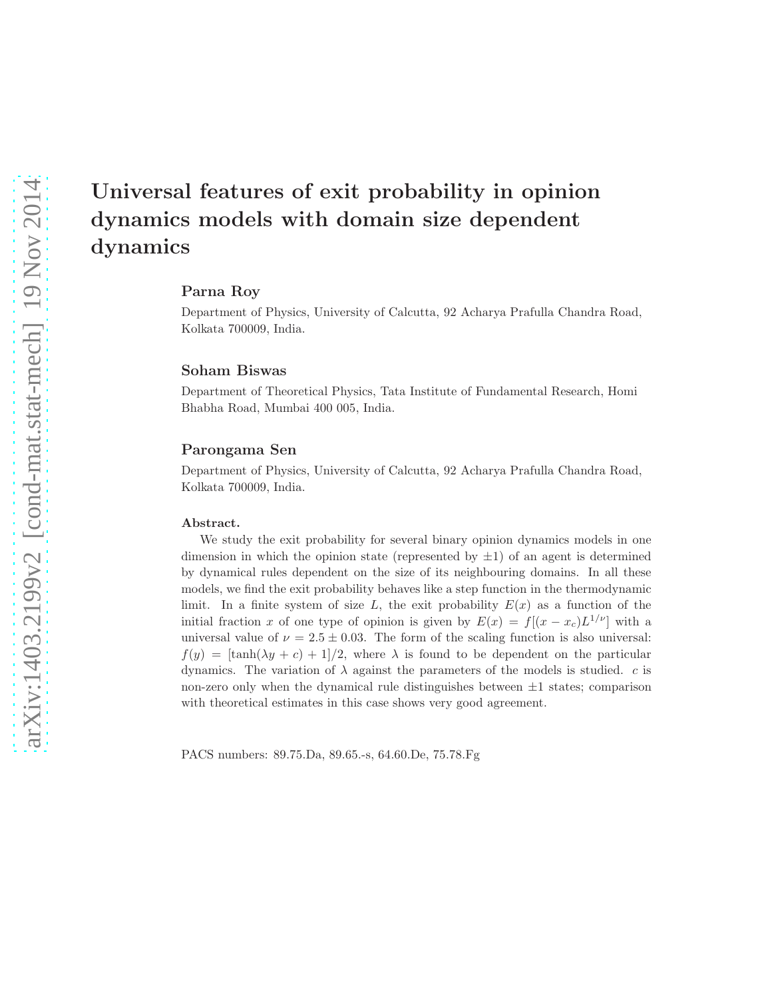## Parna Roy

Department of Physics, University of Calcutta, 92 Acharya Prafulla Chandra Road, Kolkata 700009, India.

#### Soham Biswas

Department of Theoretical Physics, Tata Institute of Fundamental Research, Homi Bhabha Road, Mumbai 400 005, India.

### Parongama Sen

Department of Physics, University of Calcutta, 92 Acharya Prafulla Chandra Road, Kolkata 700009, India.

#### Abstract.

We study the exit probability for several binary opinion dynamics models in one dimension in which the opinion state (represented by  $\pm 1$ ) of an agent is determined by dynamical rules dependent on the size of its neighbouring domains. In all these models, we find the exit probability behaves like a step function in the thermodynamic limit. In a finite system of size L, the exit probability  $E(x)$  as a function of the initial fraction x of one type of opinion is given by  $E(x) = f[(x - x_c)L^{1/\nu}]$  with a universal value of  $\nu = 2.5 \pm 0.03$ . The form of the scaling function is also universal:  $f(y) = [\tanh(\lambda y + c) + 1]/2$ , where  $\lambda$  is found to be dependent on the particular dynamics. The variation of  $\lambda$  against the parameters of the models is studied. c is non-zero only when the dynamical rule distinguishes between  $\pm 1$  states; comparison with theoretical estimates in this case shows very good agreement.

PACS numbers: 89.75.Da, 89.65.-s, 64.60.De, 75.78.Fg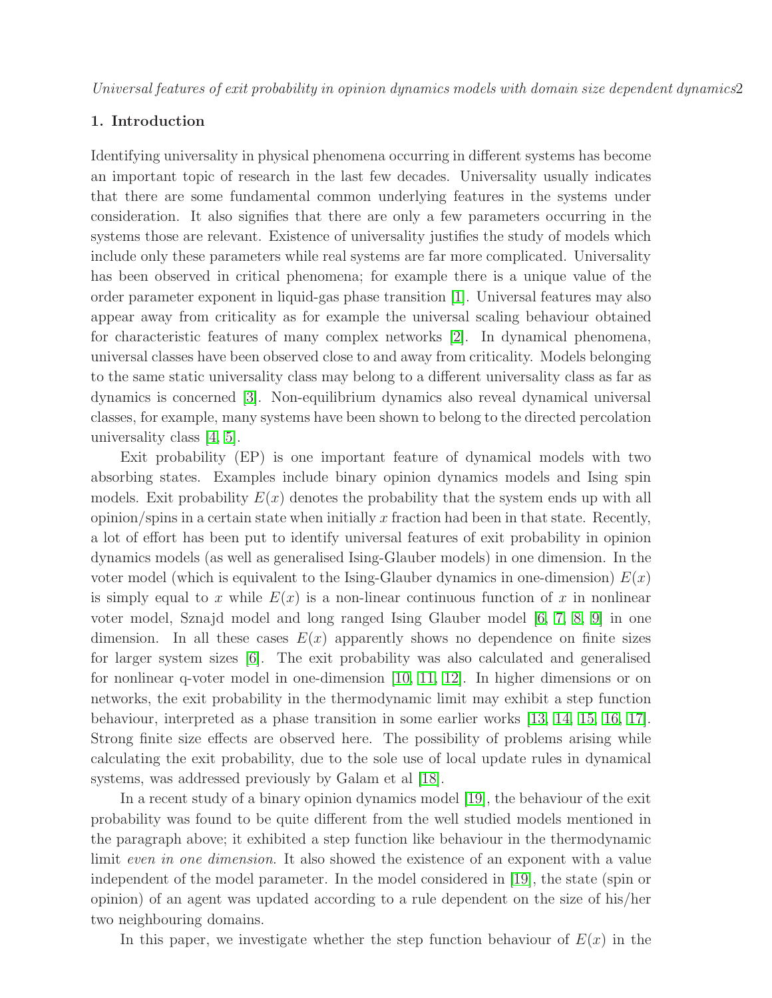## 1. Introduction

Identifying universality in physical phenomena occurring in different systems has become an important topic of research in the last few decades. Universality usually indicates that there are some fundamental common underlying features in the systems under consideration. It also signifies that there are only a few parameters occurring in the systems those are relevant. Existence of universality justifies the study of models which include only these parameters while real systems are far more complicated. Universality has been observed in critical phenomena; for example there is a unique value of the order parameter exponent in liquid-gas phase transition [\[1\]](#page-13-0). Universal features may also appear away from criticality as for example the universal scaling behaviour obtained for characteristic features of many complex networks [\[2\]](#page-13-1). In dynamical phenomena, universal classes have been observed close to and away from criticality. Models belonging to the same static universality class may belong to a different universality class as far as dynamics is concerned [\[3\]](#page-13-2). Non-equilibrium dynamics also reveal dynamical universal classes, for example, many systems have been shown to belong to the directed percolation universality class [\[4,](#page-13-3) [5\]](#page-13-4).

Exit probability (EP) is one important feature of dynamical models with two absorbing states. Examples include binary opinion dynamics models and Ising spin models. Exit probability  $E(x)$  denotes the probability that the system ends up with all  $\alpha$  opinion/spins in a certain state when initially x fraction had been in that state. Recently, a lot of effort has been put to identify universal features of exit probability in opinion dynamics models (as well as generalised Ising-Glauber models) in one dimension. In the voter model (which is equivalent to the Ising-Glauber dynamics in one-dimension)  $E(x)$ is simply equal to x while  $E(x)$  is a non-linear continuous function of x in nonlinear voter model, Sznajd model and long ranged Ising Glauber model [\[6,](#page-13-5) [7,](#page-13-6) [8,](#page-13-7) [9\]](#page-13-8) in one dimension. In all these cases  $E(x)$  apparently shows no dependence on finite sizes for larger system sizes [\[6\]](#page-13-5). The exit probability was also calculated and generalised for nonlinear q-voter model in one-dimension [\[10,](#page-13-9) [11,](#page-13-10) [12\]](#page-13-11). In higher dimensions or on networks, the exit probability in the thermodynamic limit may exhibit a step function behaviour, interpreted as a phase transition in some earlier works [\[13,](#page-13-12) [14,](#page-13-13) [15,](#page-13-14) [16,](#page-13-15) [17\]](#page-13-16). Strong finite size effects are observed here. The possibility of problems arising while calculating the exit probability, due to the sole use of local update rules in dynamical systems, was addressed previously by Galam et al [\[18\]](#page-13-17).

In a recent study of a binary opinion dynamics model [\[19\]](#page-13-18), the behaviour of the exit probability was found to be quite different from the well studied models mentioned in the paragraph above; it exhibited a step function like behaviour in the thermodynamic limit even in one dimension. It also showed the existence of an exponent with a value independent of the model parameter. In the model considered in [\[19\]](#page-13-18), the state (spin or opinion) of an agent was updated according to a rule dependent on the size of his/her two neighbouring domains.

In this paper, we investigate whether the step function behaviour of  $E(x)$  in the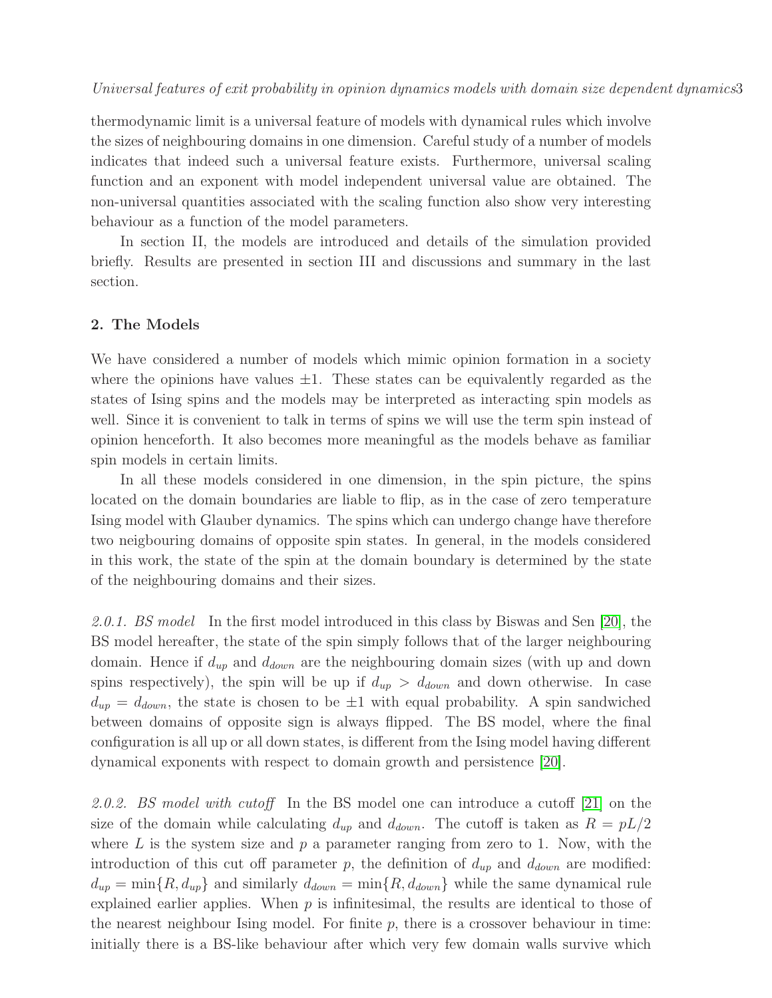thermodynamic limit is a universal feature of models with dynamical rules which involve the sizes of neighbouring domains in one dimension. Careful study of a number of models indicates that indeed such a universal feature exists. Furthermore, universal scaling function and an exponent with model independent universal value are obtained. The non-universal quantities associated with the scaling function also show very interesting behaviour as a function of the model parameters.

In section II, the models are introduced and details of the simulation provided briefly. Results are presented in section III and discussions and summary in the last section.

## 2. The Models

We have considered a number of models which mimic opinion formation in a society where the opinions have values  $\pm 1$ . These states can be equivalently regarded as the states of Ising spins and the models may be interpreted as interacting spin models as well. Since it is convenient to talk in terms of spins we will use the term spin instead of opinion henceforth. It also becomes more meaningful as the models behave as familiar spin models in certain limits.

In all these models considered in one dimension, in the spin picture, the spins located on the domain boundaries are liable to flip, as in the case of zero temperature Ising model with Glauber dynamics. The spins which can undergo change have therefore two neigbouring domains of opposite spin states. In general, in the models considered in this work, the state of the spin at the domain boundary is determined by the state of the neighbouring domains and their sizes.

2.0.1. BS model In the first model introduced in this class by Biswas and Sen [\[20\]](#page-13-19), the BS model hereafter, the state of the spin simply follows that of the larger neighbouring domain. Hence if  $d_{up}$  and  $d_{down}$  are the neighbouring domain sizes (with up and down spins respectively), the spin will be up if  $d_{up} > d_{down}$  and down otherwise. In case  $d_{up} = d_{down}$ , the state is chosen to be  $\pm 1$  with equal probability. A spin sandwiched between domains of opposite sign is always flipped. The BS model, where the final configuration is all up or all down states, is different from the Ising model having different dynamical exponents with respect to domain growth and persistence [\[20\]](#page-13-19).

2.0.2. BS model with cutoff In the BS model one can introduce a cutoff [\[21\]](#page-13-20) on the size of the domain while calculating  $d_{up}$  and  $d_{down}$ . The cutoff is taken as  $R = pL/2$ where  $L$  is the system size and  $p$  a parameter ranging from zero to 1. Now, with the introduction of this cut off parameter p, the definition of  $d_{up}$  and  $d_{down}$  are modified:  $d_{up} = \min\{R, d_{up}\}\$ and similarly  $d_{down} = \min\{R, d_{down}\}\$  while the same dynamical rule explained earlier applies. When  $p$  is infinitesimal, the results are identical to those of the nearest neighbour Ising model. For finite  $p$ , there is a crossover behaviour in time: initially there is a BS-like behaviour after which very few domain walls survive which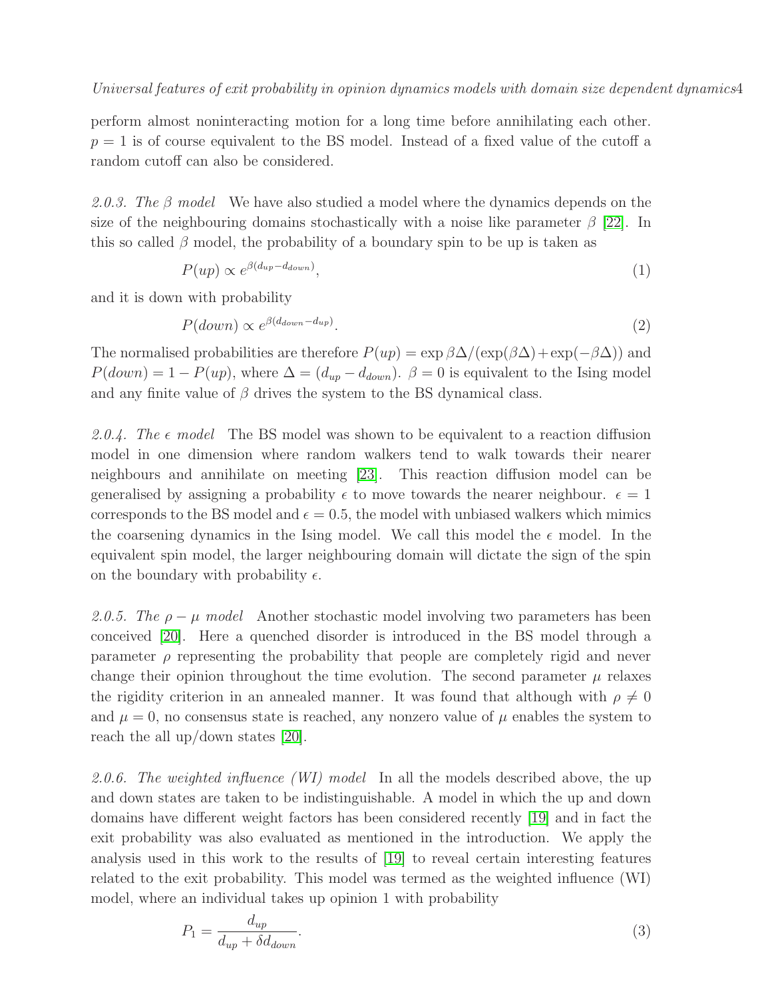perform almost noninteracting motion for a long time before annihilating each other.  $p = 1$  is of course equivalent to the BS model. Instead of a fixed value of the cutoff a random cutoff can also be considered.

2.0.3. The  $\beta$  model We have also studied a model where the dynamics depends on the size of the neighbouring domains stochastically with a noise like parameter  $\beta$  [\[22\]](#page-13-21). In this so called  $\beta$  model, the probability of a boundary spin to be up is taken as

$$
P(up) \propto e^{\beta (d_{up} - d_{down})},\tag{1}
$$

and it is down with probability

$$
P(down) \propto e^{\beta(d_{down} - d_{up})}.
$$
\n
$$
(2)
$$

The normalised probabilities are therefore  $P(up) = \exp \beta \Delta / (\exp(\beta \Delta) + \exp(-\beta \Delta))$  and  $P(down) = 1 - P(up)$ , where  $\Delta = (d_{up} - d_{down})$ .  $\beta = 0$  is equivalent to the Ising model and any finite value of  $\beta$  drives the system to the BS dynamical class.

2.0.4. The  $\epsilon$  model The BS model was shown to be equivalent to a reaction diffusion model in one dimension where random walkers tend to walk towards their nearer neighbours and annihilate on meeting [\[23\]](#page-13-22). This reaction diffusion model can be generalised by assigning a probability  $\epsilon$  to move towards the nearer neighbour.  $\epsilon = 1$ corresponds to the BS model and  $\epsilon = 0.5$ , the model with unbiased walkers which mimics the coarsening dynamics in the Ising model. We call this model the  $\epsilon$  model. In the equivalent spin model, the larger neighbouring domain will dictate the sign of the spin on the boundary with probability  $\epsilon$ .

2.0.5. The  $\rho - \mu$  model Another stochastic model involving two parameters has been conceived [\[20\]](#page-13-19). Here a quenched disorder is introduced in the BS model through a parameter  $\rho$  representing the probability that people are completely rigid and never change their opinion throughout the time evolution. The second parameter  $\mu$  relaxes the rigidity criterion in an annealed manner. It was found that although with  $\rho \neq 0$ and  $\mu = 0$ , no consensus state is reached, any nonzero value of  $\mu$  enables the system to reach the all up/down states [\[20\]](#page-13-19).

2.0.6. The weighted influence (WI) model In all the models described above, the up and down states are taken to be indistinguishable. A model in which the up and down domains have different weight factors has been considered recently [\[19\]](#page-13-18) and in fact the exit probability was also evaluated as mentioned in the introduction. We apply the analysis used in this work to the results of [\[19\]](#page-13-18) to reveal certain interesting features related to the exit probability. This model was termed as the weighted influence (WI) model, where an individual takes up opinion 1 with probability

$$
P_1 = \frac{d_{up}}{d_{up} + \delta d_{down}}.\tag{3}
$$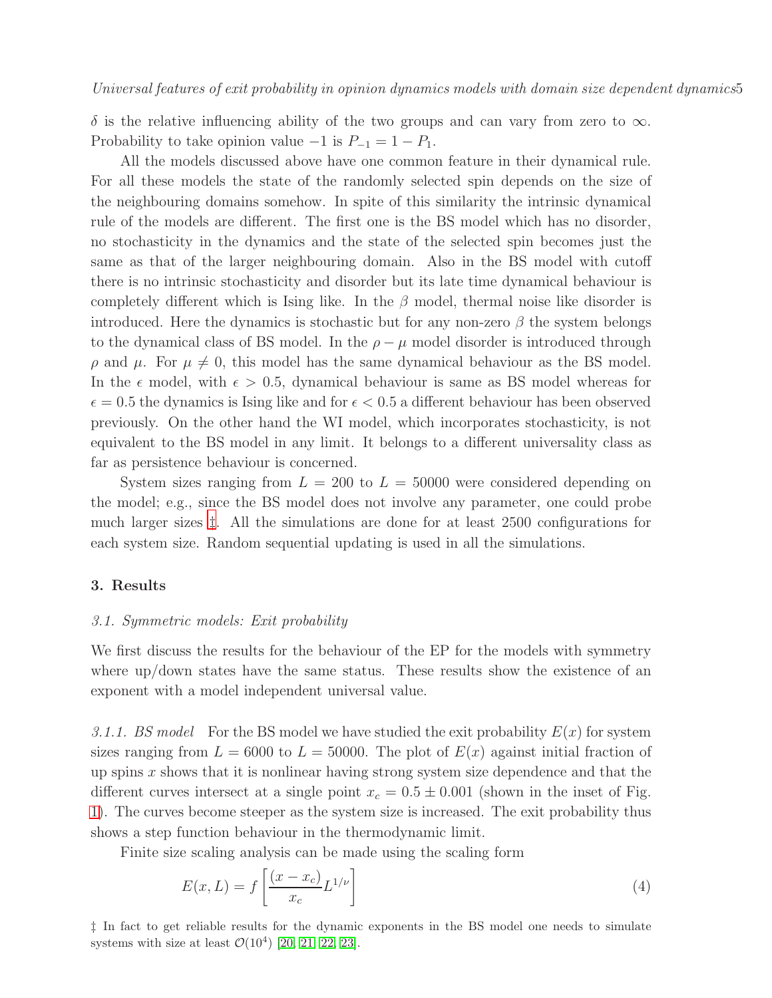$\delta$  is the relative influencing ability of the two groups and can vary from zero to  $\infty$ . Probability to take opinion value  $-1$  is  $P_{-1} = 1 - P_1$ .

All the models discussed above have one common feature in their dynamical rule. For all these models the state of the randomly selected spin depends on the size of the neighbouring domains somehow. In spite of this similarity the intrinsic dynamical rule of the models are different. The first one is the BS model which has no disorder, no stochasticity in the dynamics and the state of the selected spin becomes just the same as that of the larger neighbouring domain. Also in the BS model with cutoff there is no intrinsic stochasticity and disorder but its late time dynamical behaviour is completely different which is Ising like. In the  $\beta$  model, thermal noise like disorder is introduced. Here the dynamics is stochastic but for any non-zero  $\beta$  the system belongs to the dynamical class of BS model. In the  $\rho - \mu$  model disorder is introduced through  $ρ$  and  $μ$ . For  $μ \neq 0$ , this model has the same dynamical behaviour as the BS model. In the  $\epsilon$  model, with  $\epsilon > 0.5$ , dynamical behaviour is same as BS model whereas for  $\epsilon = 0.5$  the dynamics is Ising like and for  $\epsilon < 0.5$  a different behaviour has been observed previously. On the other hand the WI model, which incorporates stochasticity, is not equivalent to the BS model in any limit. It belongs to a different universality class as far as persistence behaviour is concerned.

System sizes ranging from  $L = 200$  to  $L = 50000$  were considered depending on the model; e.g., since the BS model does not involve any parameter, one could probe much larger sizes [‡](#page-4-0). All the simulations are done for at least 2500 configurations for each system size. Random sequential updating is used in all the simulations.

## 3. Results

#### 3.1. Symmetric models: Exit probability

We first discuss the results for the behaviour of the EP for the models with symmetry where up/down states have the same status. These results show the existence of an exponent with a model independent universal value.

3.1.1. BS model For the BS model we have studied the exit probability  $E(x)$  for system sizes ranging from  $L = 6000$  to  $L = 50000$ . The plot of  $E(x)$  against initial fraction of up spins  $x$  shows that it is nonlinear having strong system size dependence and that the different curves intersect at a single point  $x_c = 0.5 \pm 0.001$  (shown in the inset of Fig. [1\)](#page-5-0). The curves become steeper as the system size is increased. The exit probability thus shows a step function behaviour in the thermodynamic limit.

Finite size scaling analysis can be made using the scaling form

<span id="page-4-1"></span>
$$
E(x,L) = f\left[\frac{(x-x_c)}{x_c}L^{1/\nu}\right]
$$
\n(4)

<span id="page-4-0"></span>‡ In fact to get reliable results for the dynamic exponents in the BS model one needs to simulate systems with size at least  $\mathcal{O}(10^4)$  [\[20,](#page-13-19) [21,](#page-13-20) [22,](#page-13-21) [23\]](#page-13-22).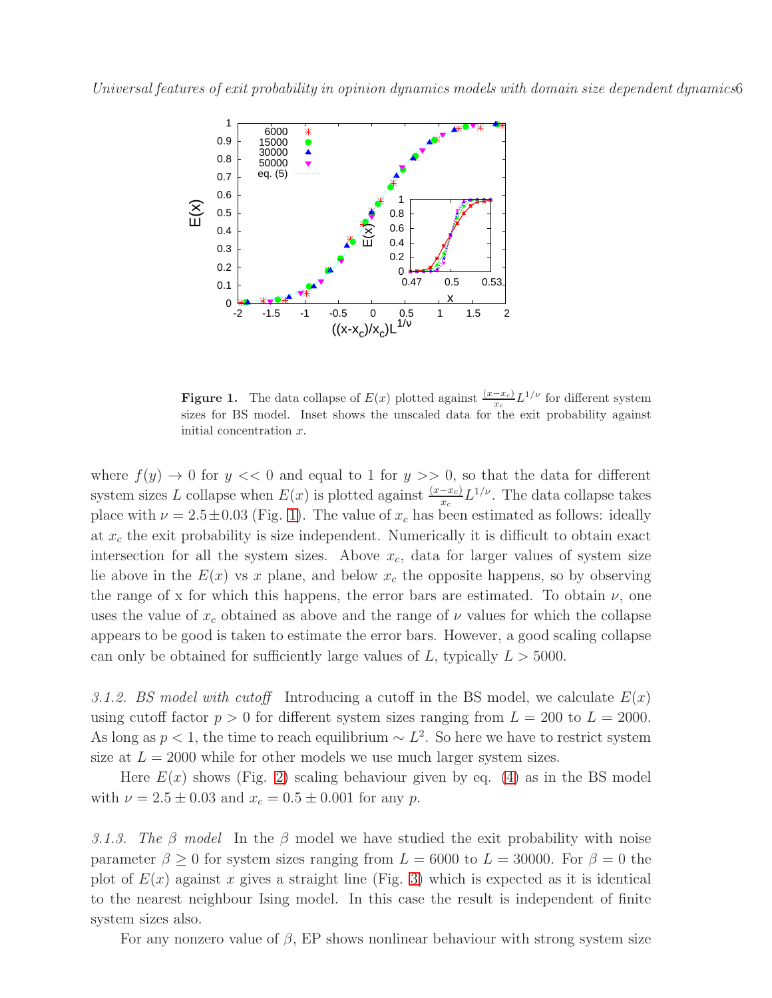

<span id="page-5-0"></span>**Figure 1.** The data collapse of  $E(x)$  plotted against  $\frac{(x-x_c)}{x_c}L^{1/\nu}$  for different system sizes for BS model. Inset shows the unscaled data for the exit probability against initial concentration x.

where  $f(y) \to 0$  for  $y \ll 0$  and equal to 1 for  $y \gg 0$ , so that the data for different system sizes L collapse when  $E(x)$  is plotted against  $\frac{(x-x_c)}{x_c}L^{1/\nu}$ . The data collapse takes place with  $\nu = 2.5 \pm 0.03$  (Fig. [1\)](#page-5-0). The value of  $x_c$  has been estimated as follows: ideally at  $x_c$  the exit probability is size independent. Numerically it is difficult to obtain exact intersection for all the system sizes. Above  $x_c$ , data for larger values of system size lie above in the  $E(x)$  vs x plane, and below  $x_c$  the opposite happens, so by observing the range of x for which this happens, the error bars are estimated. To obtain  $\nu$ , one uses the value of  $x_c$  obtained as above and the range of  $\nu$  values for which the collapse appears to be good is taken to estimate the error bars. However, a good scaling collapse can only be obtained for sufficiently large values of L, typically  $L > 5000$ .

3.1.2. BS model with cutoff Introducing a cutoff in the BS model, we calculate  $E(x)$ using cutoff factor  $p > 0$  for different system sizes ranging from  $L = 200$  to  $L = 2000$ . As long as  $p < 1$ , the time to reach equilibrium  $\sim L^2$ . So here we have to restrict system size at  $L = 2000$  while for other models we use much larger system sizes.

Here  $E(x)$  shows (Fig. [2\)](#page-6-0) scaling behaviour given by eq. [\(4\)](#page-4-1) as in the BS model with  $\nu = 2.5 \pm 0.03$  and  $x_c = 0.5 \pm 0.001$  for any p.

3.1.3. The β model In the β model we have studied the exit probability with noise parameter  $\beta \ge 0$  for system sizes ranging from  $L = 6000$  to  $L = 30000$ . For  $\beta = 0$  the plot of  $E(x)$  against x gives a straight line (Fig. [3\)](#page-6-1) which is expected as it is identical to the nearest neighbour Ising model. In this case the result is independent of finite system sizes also.

For any nonzero value of  $\beta$ , EP shows nonlinear behaviour with strong system size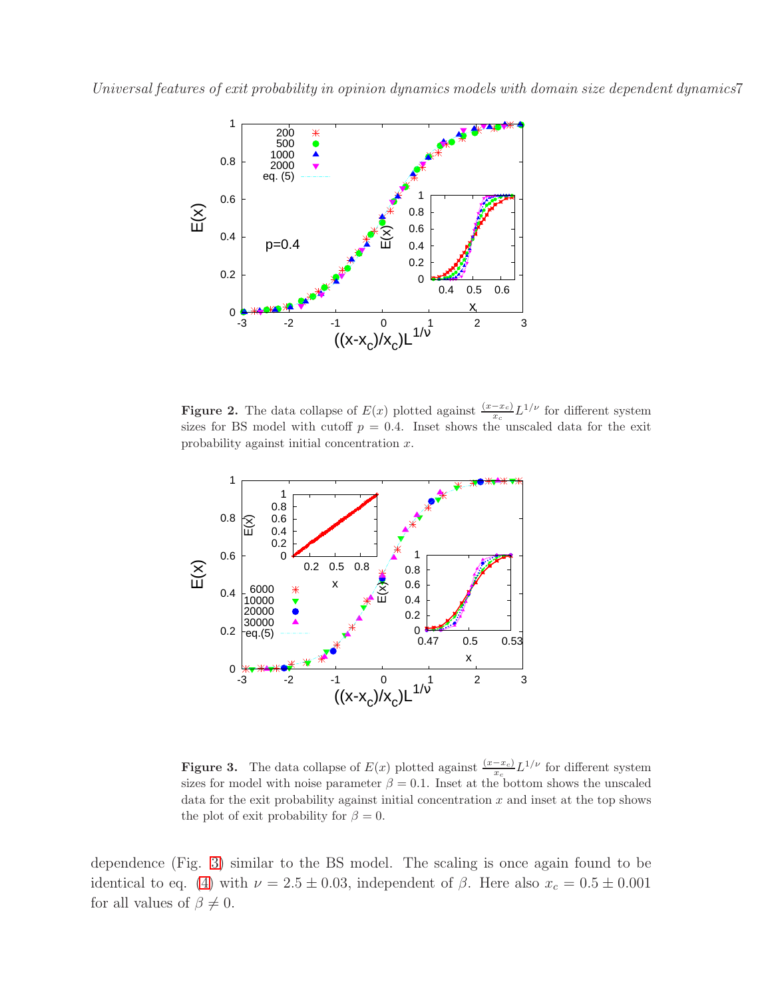

<span id="page-6-0"></span>**Figure 2.** The data collapse of  $E(x)$  plotted against  $\frac{(x-x_c)}{x_c}L^{1/\nu}$  for different system sizes for BS model with cutoff  $p = 0.4$ . Inset shows the unscaled data for the exit probability against initial concentration x.



<span id="page-6-1"></span>**Figure 3.** The data collapse of  $E(x)$  plotted against  $\frac{(x-x_c)}{x_c}L^{1/\nu}$  for different system sizes for model with noise parameter  $\beta = 0.1$ . Inset at the bottom shows the unscaled data for the exit probability against initial concentration  $x$  and inset at the top shows the plot of exit probability for  $\beta = 0$ .

dependence (Fig. [3\)](#page-6-1) similar to the BS model. The scaling is once again found to be identical to eq. [\(4\)](#page-4-1) with  $\nu = 2.5 \pm 0.03$ , independent of  $\beta$ . Here also  $x_c = 0.5 \pm 0.001$ for all values of  $\beta \neq 0$ .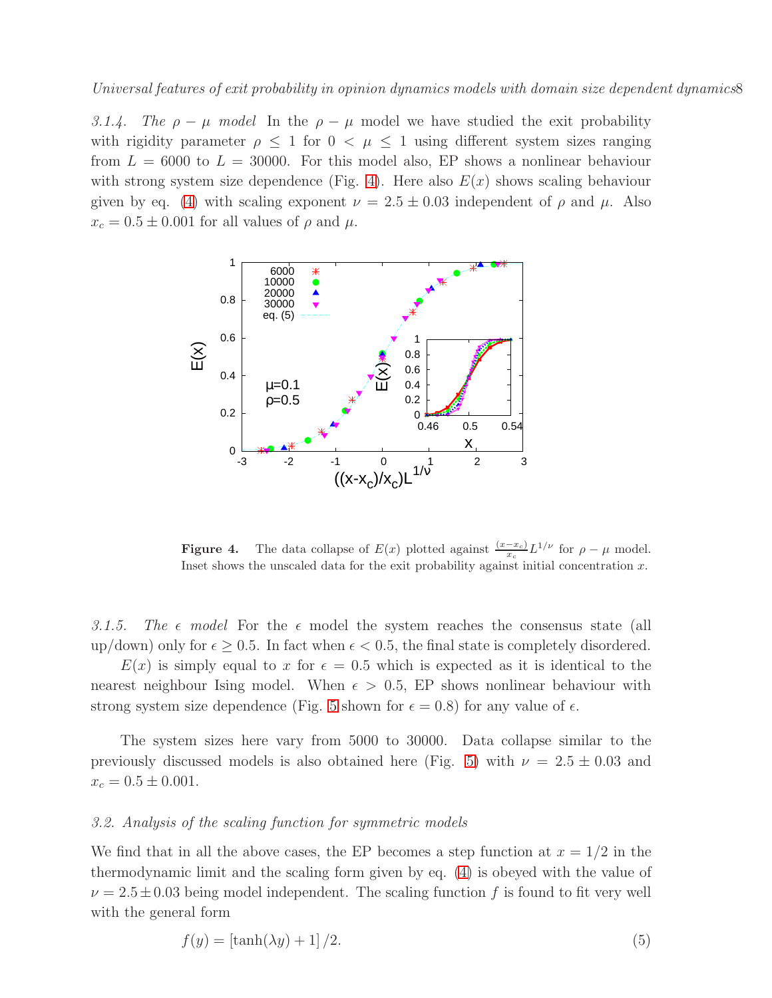3.1.4. The  $\rho - \mu$  model In the  $\rho - \mu$  model we have studied the exit probability with rigidity parameter  $\rho \leq 1$  for  $0 < \mu \leq 1$  using different system sizes ranging from  $L = 6000$  to  $L = 30000$ . For this model also, EP shows a nonlinear behaviour with strong system size dependence (Fig. [4\)](#page-7-0). Here also  $E(x)$  shows scaling behaviour given by eq. [\(4\)](#page-4-1) with scaling exponent  $\nu = 2.5 \pm 0.03$  independent of  $\rho$  and  $\mu$ . Also  $x_c = 0.5 \pm 0.001$  for all values of  $\rho$  and  $\mu$ .



<span id="page-7-0"></span>**Figure 4.** The data collapse of  $E(x)$  plotted against  $\frac{(x-x_c)}{x_c}L^{1/\nu}$  for  $\rho - \mu$  model. Inset shows the unscaled data for the exit probability against initial concentration  $x$ .

3.1.5. The  $\epsilon$  model For the  $\epsilon$  model the system reaches the consensus state (all up/down) only for  $\epsilon \geq 0.5$ . In fact when  $\epsilon < 0.5$ , the final state is completely disordered.

 $E(x)$  is simply equal to x for  $\epsilon = 0.5$  which is expected as it is identical to the nearest neighbour Ising model. When  $\epsilon > 0.5$ , EP shows nonlinear behaviour with strong system size dependence (Fig. [5](#page-8-0) shown for  $\epsilon = 0.8$ ) for any value of  $\epsilon$ .

The system sizes here vary from 5000 to 30000. Data collapse similar to the previously discussed models is also obtained here (Fig. [5\)](#page-8-0) with  $\nu = 2.5 \pm 0.03$  and  $x_c = 0.5 \pm 0.001.$ 

## 3.2. Analysis of the scaling function for symmetric models

We find that in all the above cases, the EP becomes a step function at  $x = 1/2$  in the thermodynamic limit and the scaling form given by eq. [\(4\)](#page-4-1) is obeyed with the value of  $\nu = 2.5 \pm 0.03$  being model independent. The scaling function f is found to fit very well with the general form

<span id="page-7-1"></span>
$$
f(y) = \left[\tanh(\lambda y) + 1\right]/2. \tag{5}
$$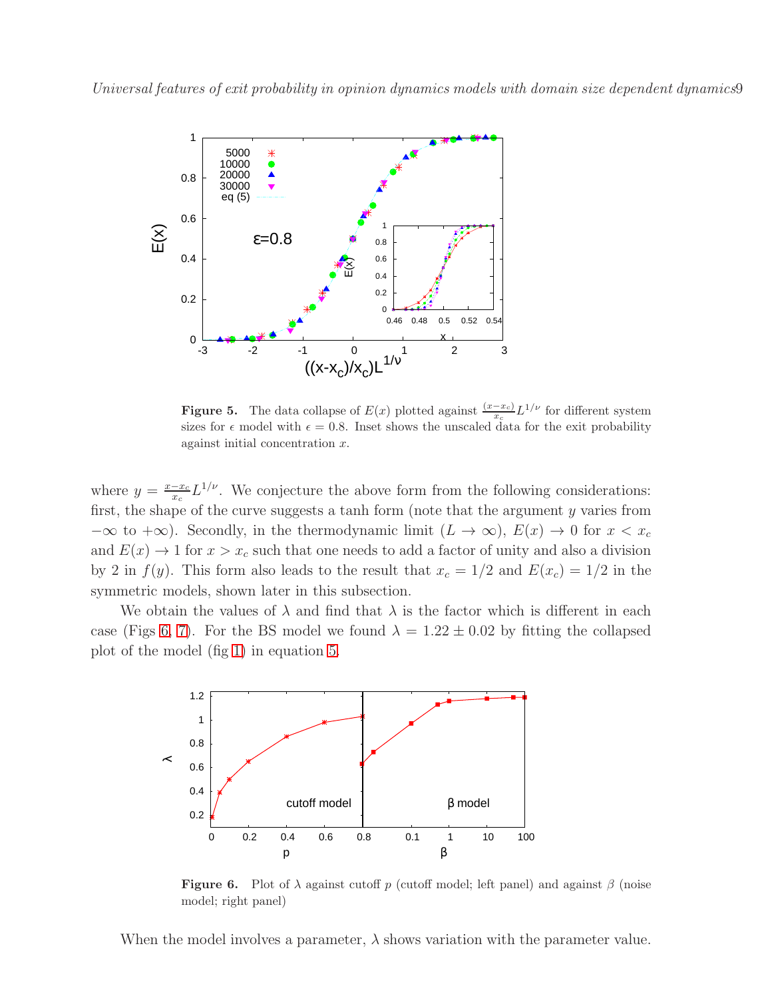

<span id="page-8-0"></span>**Figure 5.** The data collapse of  $E(x)$  plotted against  $\frac{(x-x_c)}{x_c}L^{1/\nu}$  for different system sizes for  $\epsilon$  model with  $\epsilon = 0.8$ . Inset shows the unscaled data for the exit probability against initial concentration x.

where  $y = \frac{x - x_c}{x_c}$  $\frac{-x_c}{x_c} L^{1/\nu}$ . We conjecture the above form from the following considerations: first, the shape of the curve suggests a tanh form (note that the argument y varies from  $-\infty$  to  $+\infty$ ). Secondly, in the thermodynamic limit  $(L \to \infty)$ ,  $E(x) \to 0$  for  $x < x_c$ and  $E(x) \to 1$  for  $x > x_c$  such that one needs to add a factor of unity and also a division by 2 in  $f(y)$ . This form also leads to the result that  $x_c = 1/2$  and  $E(x_c) = 1/2$  in the symmetric models, shown later in this subsection.

We obtain the values of  $\lambda$  and find that  $\lambda$  is the factor which is different in each case (Figs [6,](#page-8-1) [7\)](#page-9-0). For the BS model we found  $\lambda = 1.22 \pm 0.02$  by fitting the collapsed plot of the model (fig [1\)](#page-5-0) in equation [5.](#page-7-1)



<span id="page-8-1"></span>**Figure 6.** Plot of  $\lambda$  against cutoff p (cutoff model; left panel) and against  $\beta$  (noise model; right panel)

When the model involves a parameter,  $\lambda$  shows variation with the parameter value.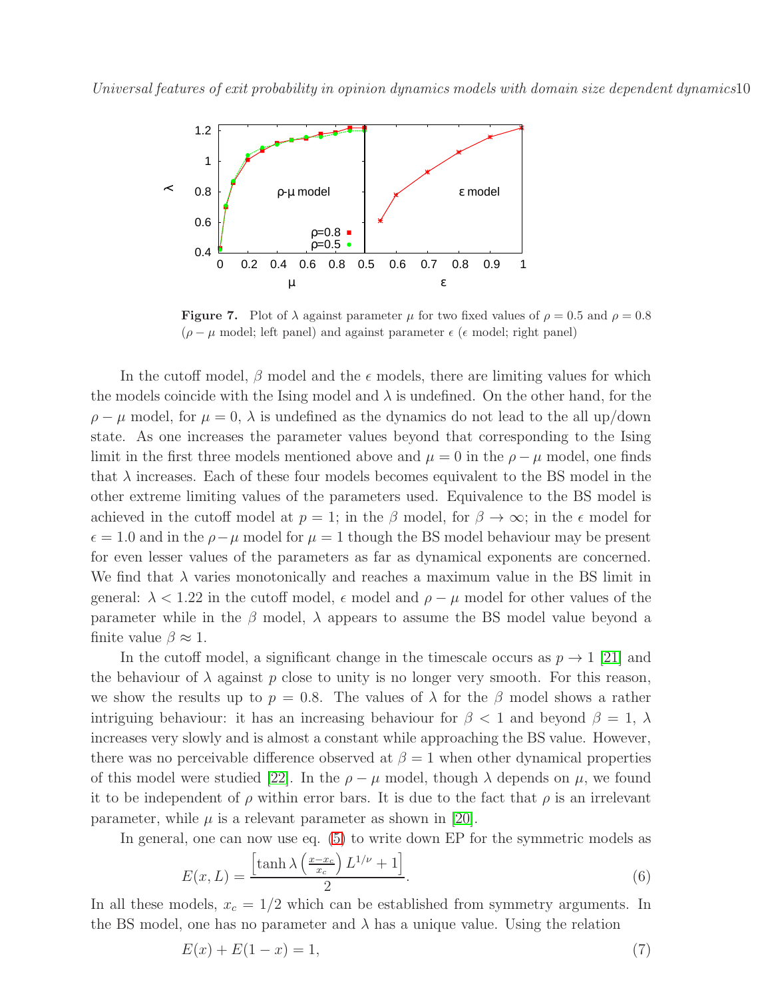

<span id="page-9-0"></span>**Figure 7.** Plot of  $\lambda$  against parameter  $\mu$  for two fixed values of  $\rho = 0.5$  and  $\rho = 0.8$  $(\rho - \mu \text{ model}; \text{ left panel})$  and against parameter  $\epsilon$  ( $\epsilon$  model; right panel)

In the cutoff model,  $\beta$  model and the  $\epsilon$  models, there are limiting values for which the models coincide with the Ising model and  $\lambda$  is undefined. On the other hand, for the  $\rho - \mu$  model, for  $\mu = 0$ ,  $\lambda$  is undefined as the dynamics do not lead to the all up/down state. As one increases the parameter values beyond that corresponding to the Ising limit in the first three models mentioned above and  $\mu = 0$  in the  $\rho - \mu$  model, one finds that  $\lambda$  increases. Each of these four models becomes equivalent to the BS model in the other extreme limiting values of the parameters used. Equivalence to the BS model is achieved in the cutoff model at  $p = 1$ ; in the β model, for  $\beta \to \infty$ ; in the  $\epsilon$  model for  $\epsilon = 1.0$  and in the  $\rho - \mu$  model for  $\mu = 1$  though the BS model behaviour may be present for even lesser values of the parameters as far as dynamical exponents are concerned. We find that  $\lambda$  varies monotonically and reaches a maximum value in the BS limit in general:  $\lambda < 1.22$  in the cutoff model,  $\epsilon$  model and  $\rho - \mu$  model for other values of the parameter while in the  $\beta$  model,  $\lambda$  appears to assume the BS model value beyond a finite value  $\beta \approx 1$ .

In the cutoff model, a significant change in the timescale occurs as  $p \to 1$  [\[21\]](#page-13-20) and the behaviour of  $\lambda$  against p close to unity is no longer very smooth. For this reason, we show the results up to  $p = 0.8$ . The values of  $\lambda$  for the  $\beta$  model shows a rather intriguing behaviour: it has an increasing behaviour for  $\beta$  < 1 and beyond  $\beta = 1$ ,  $\lambda$ increases very slowly and is almost a constant while approaching the BS value. However, there was no perceivable difference observed at  $\beta = 1$  when other dynamical properties of this model were studied [\[22\]](#page-13-21). In the  $\rho - \mu$  model, though  $\lambda$  depends on  $\mu$ , we found it to be independent of  $\rho$  within error bars. It is due to the fact that  $\rho$  is an irrelevant parameter, while  $\mu$  is a relevant parameter as shown in [\[20\]](#page-13-19).

In general, one can now use eq. [\(5\)](#page-7-1) to write down EP for the symmetric models as

<span id="page-9-1"></span>
$$
E(x,L) = \frac{\left[\tanh\lambda\left(\frac{x-x_c}{x_c}\right)L^{1/\nu} + 1\right]}{2}.\tag{6}
$$

In all these models,  $x_c = 1/2$  which can be established from symmetry arguments. In the BS model, one has no parameter and  $\lambda$  has a unique value. Using the relation

<span id="page-9-2"></span>
$$
E(x) + E(1 - x) = 1,\t\t(7)
$$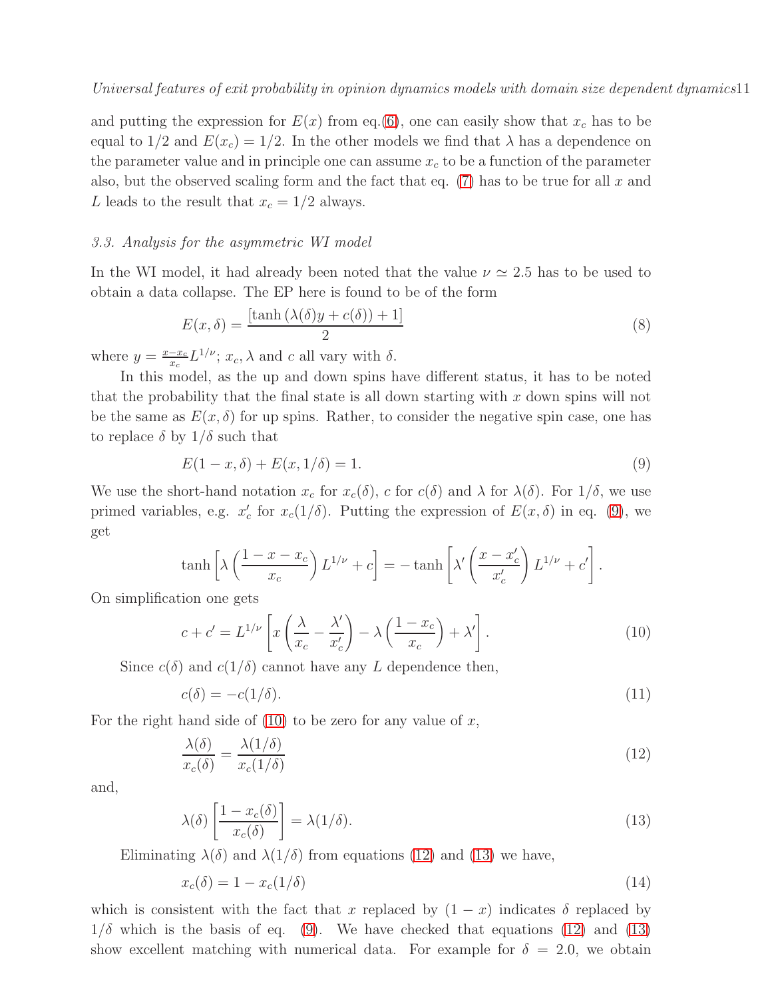and putting the expression for  $E(x)$  from eq.[\(6\)](#page-9-1), one can easily show that  $x_c$  has to be equal to  $1/2$  and  $E(x_c) = 1/2$ . In the other models we find that  $\lambda$  has a dependence on the parameter value and in principle one can assume  $x_c$  to be a function of the parameter also, but the observed scaling form and the fact that eq.  $(7)$  has to be true for all x and L leads to the result that  $x_c = 1/2$  always.

## 3.3. Analysis for the asymmetric WI model

In the WI model, it had already been noted that the value  $\nu \approx 2.5$  has to be used to obtain a data collapse. The EP here is found to be of the form

<span id="page-10-5"></span>
$$
E(x,\delta) = \frac{\left[\tanh\left(\lambda(\delta)y + c(\delta)\right) + 1\right]}{2} \tag{8}
$$

where  $y = \frac{x - x_c}{x_c}$  $\frac{-x_c}{x_c} L^{1/\nu}$ ;  $x_c$ ,  $\lambda$  and c all vary with  $\delta$ .

In this model, as the up and down spins have different status, it has to be noted that the probability that the final state is all down starting with  $x$  down spins will not be the same as  $E(x, \delta)$  for up spins. Rather, to consider the negative spin case, one has to replace  $\delta$  by  $1/\delta$  such that

<span id="page-10-0"></span>
$$
E(1 - x, \delta) + E(x, 1/\delta) = 1.
$$
\n(9)

We use the short-hand notation  $x_c$  for  $x_c(\delta)$ , c for  $c(\delta)$  and  $\lambda$  for  $\lambda(\delta)$ . For  $1/\delta$ , we use primed variables, e.g.  $x'_c$ '<sub>c</sub> for  $x_c(1/\delta)$ . Putting the expression of  $E(x,\delta)$  in eq. [\(9\)](#page-10-0), we get

$$
\tanh\left[\lambda\left(\frac{1-x-x_c}{x_c}\right)L^{1/\nu}+c\right] = -\tanh\left[\lambda'\left(\frac{x-x_c'}{x_c'}\right)L^{1/\nu}+c'\right].
$$

On simplification one gets

<span id="page-10-1"></span>
$$
c + c' = L^{1/\nu} \left[ x \left( \frac{\lambda}{x_c} - \frac{\lambda'}{x_c'} \right) - \lambda \left( \frac{1 - x_c}{x_c} \right) + \lambda' \right].
$$
 (10)

Since  $c(\delta)$  and  $c(1/\delta)$  cannot have any L dependence then,

<span id="page-10-4"></span>
$$
c(\delta) = -c(1/\delta). \tag{11}
$$

For the right hand side of  $(10)$  to be zero for any value of x,

<span id="page-10-2"></span>
$$
\frac{\lambda(\delta)}{x_c(\delta)} = \frac{\lambda(1/\delta)}{x_c(1/\delta)}\tag{12}
$$

and,

<span id="page-10-3"></span>
$$
\lambda(\delta) \left[ \frac{1 - x_c(\delta)}{x_c(\delta)} \right] = \lambda(1/\delta). \tag{13}
$$

Eliminating  $\lambda(\delta)$  and  $\lambda(1/\delta)$  from equations [\(12\)](#page-10-2) and [\(13\)](#page-10-3) we have,

$$
x_c(\delta) = 1 - x_c(1/\delta) \tag{14}
$$

which is consistent with the fact that x replaced by  $(1 - x)$  indicates  $\delta$  replaced by  $1/\delta$  which is the basis of eq. [\(9\)](#page-10-0). We have checked that equations [\(12\)](#page-10-2) and [\(13\)](#page-10-3) show excellent matching with numerical data. For example for  $\delta = 2.0$ , we obtain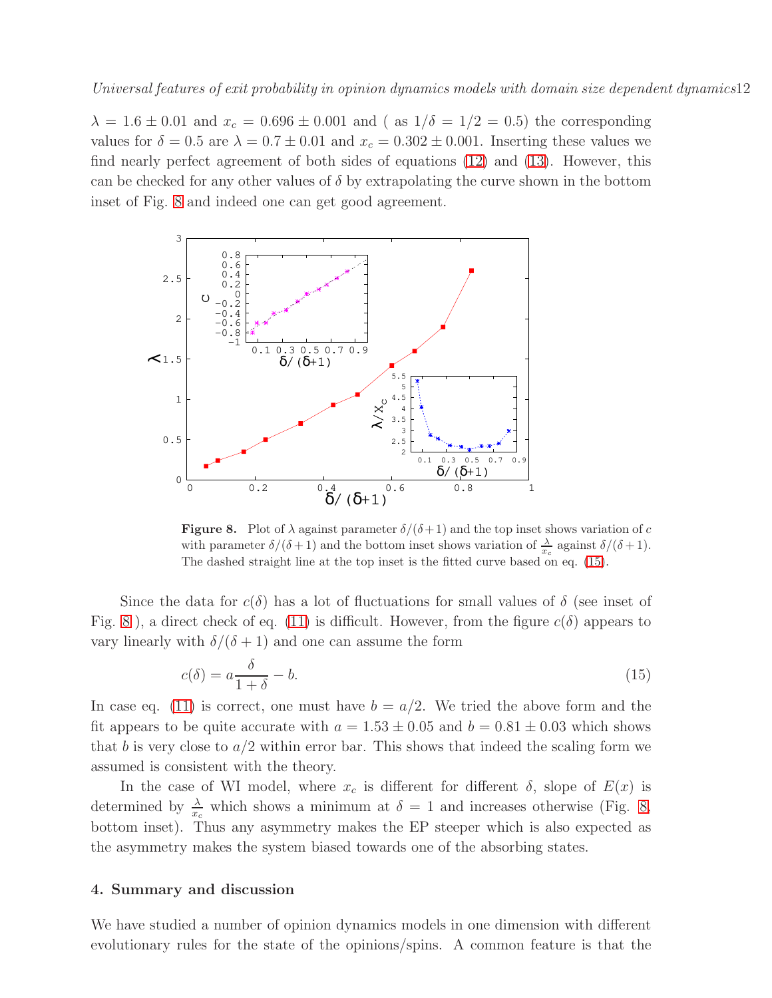$\lambda = 1.6 \pm 0.01$  and  $x_c = 0.696 \pm 0.001$  and (as  $1/\delta = 1/2 = 0.5$ ) the corresponding values for  $\delta = 0.5$  are  $\lambda = 0.7 \pm 0.01$  and  $x_c = 0.302 \pm 0.001$ . Inserting these values we find nearly perfect agreement of both sides of equations [\(12\)](#page-10-2) and [\(13\)](#page-10-3). However, this can be checked for any other values of  $\delta$  by extrapolating the curve shown in the bottom inset of Fig. [8](#page-11-0) and indeed one can get good agreement.



<span id="page-11-0"></span>**Figure 8.** Plot of  $\lambda$  against parameter  $\delta/(\delta+1)$  and the top inset shows variation of c with parameter  $\delta/(\delta+1)$  and the bottom inset shows variation of  $\frac{\lambda}{x_c}$  against  $\delta/(\delta+1)$ . The dashed straight line at the top inset is the fitted curve based on eq. [\(15\)](#page-11-1).

Since the data for  $c(\delta)$  has a lot of fluctuations for small values of  $\delta$  (see inset of Fig. [8](#page-11-0)), a direct check of eq. [\(11\)](#page-10-4) is difficult. However, from the figure  $c(\delta)$  appears to vary linearly with  $\delta/(\delta+1)$  and one can assume the form

<span id="page-11-1"></span>
$$
c(\delta) = a \frac{\delta}{1+\delta} - b. \tag{15}
$$

In case eq. [\(11\)](#page-10-4) is correct, one must have  $b = a/2$ . We tried the above form and the fit appears to be quite accurate with  $a = 1.53 \pm 0.05$  and  $b = 0.81 \pm 0.03$  which shows that b is very close to  $a/2$  within error bar. This shows that indeed the scaling form we assumed is consistent with the theory.

In the case of WI model, where  $x_c$  is different for different  $\delta$ , slope of  $E(x)$  is determined by  $\frac{\lambda}{x_c}$  which shows a minimum at  $\delta = 1$  and increases otherwise (Fig. [8,](#page-11-0) bottom inset). Thus any asymmetry makes the EP steeper which is also expected as the asymmetry makes the system biased towards one of the absorbing states.

#### 4. Summary and discussion

We have studied a number of opinion dynamics models in one dimension with different evolutionary rules for the state of the opinions/spins. A common feature is that the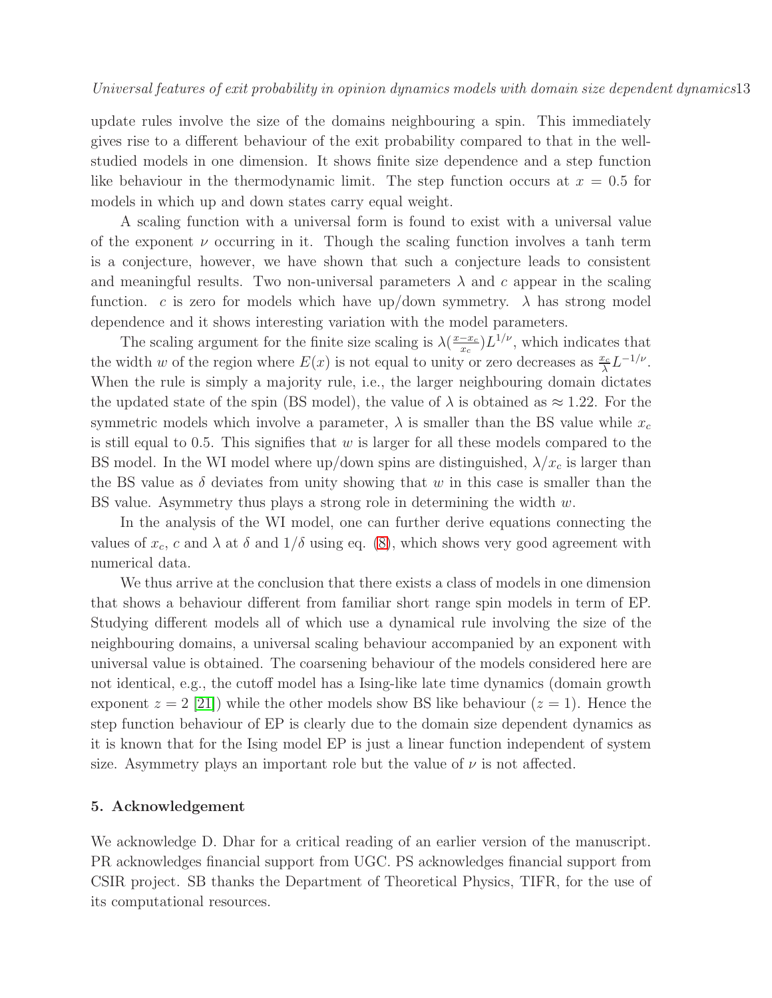update rules involve the size of the domains neighbouring a spin. This immediately gives rise to a different behaviour of the exit probability compared to that in the wellstudied models in one dimension. It shows finite size dependence and a step function like behaviour in the thermodynamic limit. The step function occurs at  $x = 0.5$  for models in which up and down states carry equal weight.

A scaling function with a universal form is found to exist with a universal value of the exponent  $\nu$  occurring in it. Though the scaling function involves a tanh term is a conjecture, however, we have shown that such a conjecture leads to consistent and meaningful results. Two non-universal parameters  $\lambda$  and c appear in the scaling function. c is zero for models which have up/down symmetry.  $\lambda$  has strong model dependence and it shows interesting variation with the model parameters.

The scaling argument for the finite size scaling is  $\lambda\left(\frac{x-x_c}{x_c}\right)$  $\frac{-x_c}{x_c}$ ) $L^{1/\nu}$ , which indicates that the width w of the region where  $E(x)$  is not equal to unity or zero decreases as  $\frac{x_c}{\lambda} L^{-1/\nu}$ . When the rule is simply a majority rule, i.e., the larger neighbouring domain dictates the updated state of the spin (BS model), the value of  $\lambda$  is obtained as  $\approx 1.22$ . For the symmetric models which involve a parameter,  $\lambda$  is smaller than the BS value while  $x_c$ is still equal to 0.5. This signifies that  $w$  is larger for all these models compared to the BS model. In the WI model where up/down spins are distinguished,  $\lambda/x_c$  is larger than the BS value as  $\delta$  deviates from unity showing that w in this case is smaller than the BS value. Asymmetry thus plays a strong role in determining the width  $w$ .

In the analysis of the WI model, one can further derive equations connecting the values of  $x_c$ , c and  $\lambda$  at  $\delta$  and  $1/\delta$  using eq. [\(8\)](#page-10-5), which shows very good agreement with numerical data.

We thus arrive at the conclusion that there exists a class of models in one dimension that shows a behaviour different from familiar short range spin models in term of EP. Studying different models all of which use a dynamical rule involving the size of the neighbouring domains, a universal scaling behaviour accompanied by an exponent with universal value is obtained. The coarsening behaviour of the models considered here are not identical, e.g., the cutoff model has a Ising-like late time dynamics (domain growth exponent  $z = 2$  [\[21\]](#page-13-20)) while the other models show BS like behaviour  $(z = 1)$ . Hence the step function behaviour of EP is clearly due to the domain size dependent dynamics as it is known that for the Ising model EP is just a linear function independent of system size. Asymmetry plays an important role but the value of  $\nu$  is not affected.

## 5. Acknowledgement

We acknowledge D. Dhar for a critical reading of an earlier version of the manuscript. PR acknowledges financial support from UGC. PS acknowledges financial support from CSIR project. SB thanks the Department of Theoretical Physics, TIFR, for the use of its computational resources.